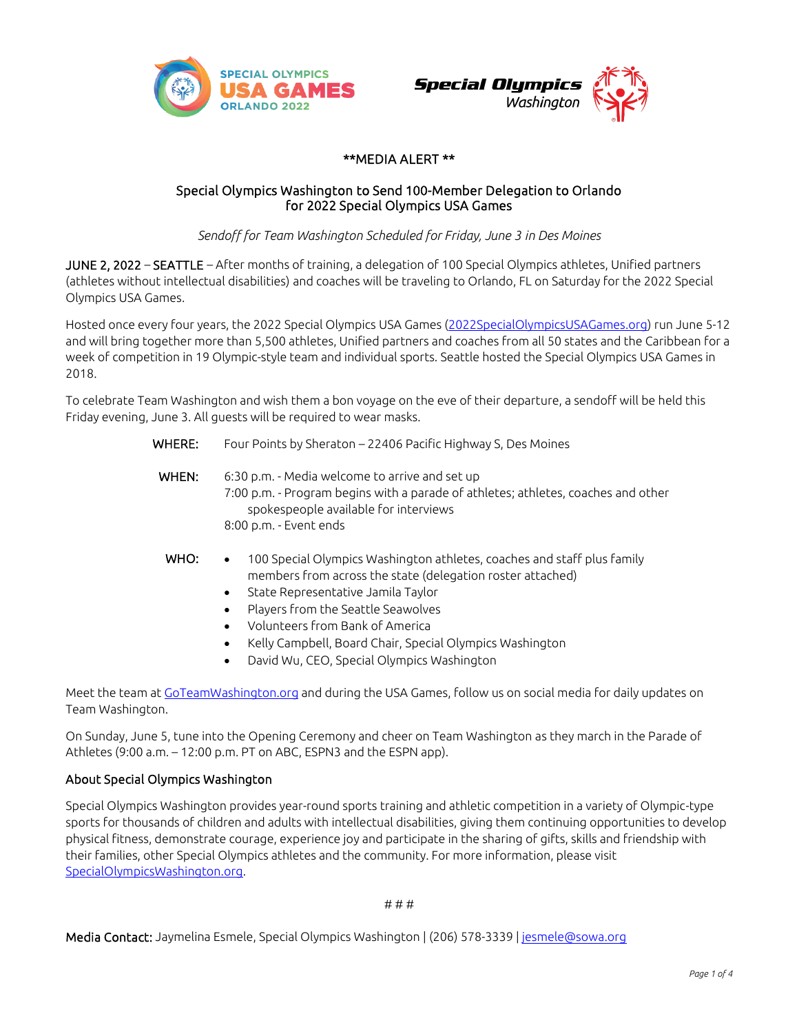



### \*\*MEDIA ALERT \*\*

### Special Olympics Washington to Send 100-Member Delegation to Orlando for 2022 Special Olympics USA Games

*Sendoff for Team Washington Scheduled for Friday, June 3 in Des Moines*

JUNE 2, 2022 – SEATTLE – After months of training, a delegation of 100 Special Olympics athletes, Unified partners (athletes without intellectual disabilities) and coaches will be traveling to Orlando, FL on Saturday for the 2022 Special Olympics USA Games.

Hosted once every four years, the 2022 Special Olympics USA Games [\(2022SpecialOlympicsUSAGames.org\)](https://www.2022specialolympicsusagames.org/) run June 5-12 and will bring together more than 5,500 athletes, Unified partners and coaches from all 50 states and the Caribbean for a week of competition in 19 Olympic-style team and individual sports. Seattle hosted the Special Olympics USA Games in 2018.

To celebrate Team Washington and wish them a bon voyage on the eve of their departure, a sendoff will be held this Friday evening, June 3. All guests will be required to wear masks.

| WHERE: | Four Points by Sheraton - 22406 Pacific Highway S, Des Moines                                                                                                                                                                                                                                                                                           |  |  |  |  |
|--------|---------------------------------------------------------------------------------------------------------------------------------------------------------------------------------------------------------------------------------------------------------------------------------------------------------------------------------------------------------|--|--|--|--|
| WHEN:  | 6:30 p.m. - Media welcome to arrive and set up<br>7:00 p.m. - Program begins with a parade of athletes; athletes, coaches and other<br>spokespeople available for interviews<br>8:00 p.m. - Event ends                                                                                                                                                  |  |  |  |  |
| WHO:   | 100 Special Olympics Washington athletes, coaches and staff plus family<br>members from across the state (delegation roster attached)<br>State Representative Jamila Taylor<br>$\bullet$<br>Players from the Seattle Seawolves<br>$\bullet$<br>Volunteers from Bank of America<br>$\bullet$<br>Kelly Campbell, Board Chair, Special Olympics Washington |  |  |  |  |

• David Wu, CEO, Special Olympics Washington

Meet the team at [GoTeamWashington.org](https://goteamwashington.org/) and during the USA Games, follow us on social media for daily updates on Team Washington.

On Sunday, June 5, tune into the Opening Ceremony and cheer on Team Washington as they march in the Parade of Athletes (9:00 a.m. – 12:00 p.m. PT on ABC, ESPN3 and the ESPN app).

### About Special Olympics Washington

Special Olympics Washington provides year-round sports training and athletic competition in a variety of Olympic-type sports for thousands of children and adults with intellectual disabilities, giving them continuing opportunities to develop physical fitness, demonstrate courage, experience joy and participate in the sharing of gifts, skills and friendship with their families, other Special Olympics athletes and the community. For more information, please visit [SpecialOlympicsWashington.org.](http://www.specialolympicswashington.org/)

# # #

Media Contact: Jaymelina Esmele, Special Olympics Washington | (206) 578-3339 [| jesmele@sowa.org](mailto:jesmele@sowa.org)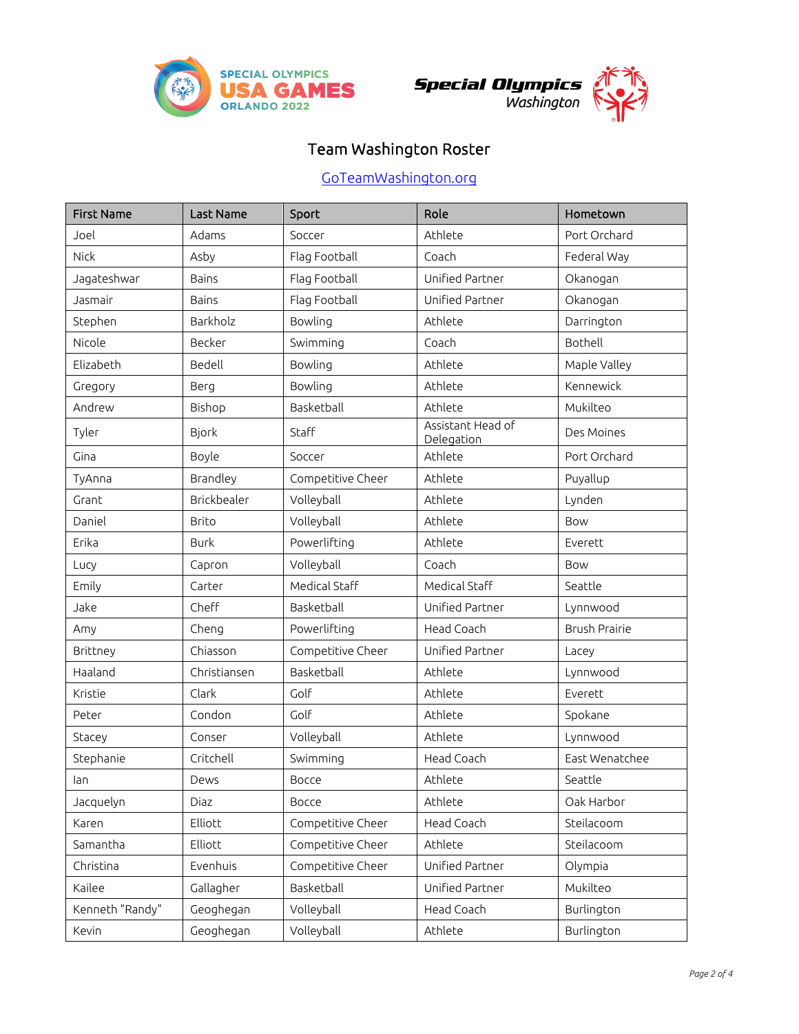



# Team Washington Roster

# [GoTeamWashington.org](https://goteamwashington.org/)

| <b>First Name</b> | Last Name    | Sport             | Role                            | Hometown             |
|-------------------|--------------|-------------------|---------------------------------|----------------------|
| Joel              | Adams        | Soccer            | Athlete                         | Port Orchard         |
| Nick              | Asby         | Flag Football     | Coach                           | Federal Way          |
| Jagateshwar       | <b>Bains</b> | Flag Football     | Unified Partner                 | Okanogan             |
| Jasmair           | <b>Bains</b> | Flag Football     | Unified Partner                 | Okanogan             |
| Stephen           | Barkholz     | Bowling           | Athlete                         | Darrington           |
| Nicole            | Becker       | Swimming          | Coach                           | Bothell              |
| Elizabeth         | Bedell       | Bowling           | Athlete                         | Maple Valley         |
| Gregory           | Berg         | Bowling           | Athlete                         | Kennewick            |
| Andrew            | Bishop       | Basketball        | Athlete                         | Mukilteo             |
| Tyler             | <b>Bjork</b> | Staff             | Assistant Head of<br>Delegation | Des Moines           |
| Gina              | Boyle        | Soccer            | Athlete                         | Port Orchard         |
| TyAnna            | Brandley     | Competitive Cheer | Athlete                         | Puyallup             |
| Grant             | Brickbealer  | Volleyball        | Athlete                         | Lynden               |
| Daniel            | <b>Brito</b> | Volleyball        | Athlete                         | Bow                  |
| Erika             | <b>Burk</b>  | Powerlifting      | Athlete                         | Everett              |
| Lucy              | Capron       | Volleyball        | Coach                           | Bow                  |
| Emily             | Carter       | Medical Staff     | Medical Staff                   | Seattle              |
| Jake              | Cheff        | Basketball        | Unified Partner                 | Lynnwood             |
| Amy               | Cheng        | Powerlifting      | Head Coach                      | <b>Brush Prairie</b> |
| Brittney          | Chiasson     | Competitive Cheer | Unified Partner                 | Lacey                |
| Haaland           | Christiansen | Basketball        | Athlete                         | Lynnwood             |
| Kristie           | Clark        | Golf              | Athlete                         | Everett              |
| Peter             | Condon       | Golf              | Athlete                         | Spokane              |
| Stacey            | Conser       | Volleyball        | Athlete                         | Lynnwood             |
| Stephanie         | Critchell    | Swimming          | Head Coach                      | East Wenatchee       |
| lan               | Dews         | Bocce             | Athlete                         | Seattle              |
| Jacquelyn         | Diaz         | Bocce             | Athlete                         | Oak Harbor           |
| Karen             | Elliott      | Competitive Cheer | Head Coach                      | Steilacoom           |
| Samantha          | Elliott      | Competitive Cheer | Athlete                         | Steilacoom           |
| Christina         | Evenhuis     | Competitive Cheer | Unified Partner                 | Olympia              |
| Kailee            | Gallagher    | Basketball        | Unified Partner                 | Mukilteo             |
| Kenneth "Randy"   | Geoghegan    | Volleyball        | Head Coach                      | Burlington           |
| Kevin             | Geoghegan    | Volleyball        | Athlete                         | Burlington           |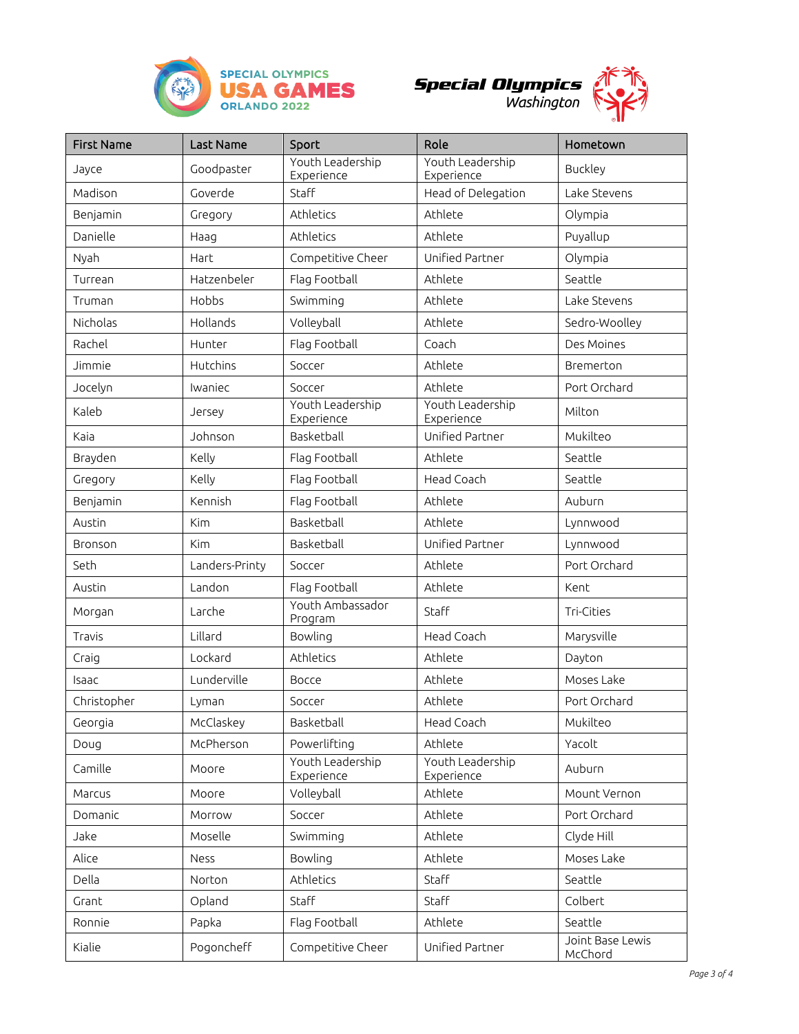





| <b>First Name</b> | Last Name      | Sport                          | Role                           | Hometown                    |
|-------------------|----------------|--------------------------------|--------------------------------|-----------------------------|
| Jayce             | Goodpaster     | Youth Leadership<br>Experience | Youth Leadership<br>Experience | <b>Buckley</b>              |
| Madison           | Goverde        | Staff                          | Head of Delegation             | Lake Stevens                |
| Benjamin          | Gregory        | Athletics                      | Athlete                        | Olympia                     |
| Danielle          | Haag           | Athletics                      | Athlete                        | Puyallup                    |
| Nyah              | Hart           | Competitive Cheer              | Unified Partner                | Olympia                     |
| Turrean           | Hatzenbeler    | Flag Football                  | Athlete                        | Seattle                     |
| Truman            | Hobbs          | Swimming                       | Athlete                        | Lake Stevens                |
| Nicholas          | Hollands       | Volleyball                     | Athlete                        | Sedro-Woolley               |
| Rachel            | Hunter         | Flag Football                  | Coach                          | Des Moines                  |
| Jimmie            | Hutchins       | Soccer                         | Athlete                        | Bremerton                   |
| Jocelyn           | Iwaniec        | Soccer                         | Athlete                        | Port Orchard                |
| Kaleb             | Jersey         | Youth Leadership<br>Experience | Youth Leadership<br>Experience | Milton                      |
| Kaia              | Johnson        | Basketball                     | Unified Partner                | Mukilteo                    |
| Brayden           | Kelly          | Flag Football                  | Athlete                        | Seattle                     |
| Gregory           | Kelly          | Flag Football                  | Head Coach                     | Seattle                     |
| Benjamin          | Kennish        | Flag Football                  | Athlete                        | Auburn                      |
| Austin            | Kim            | Basketball                     | Athlete                        | Lynnwood                    |
| Bronson           | <b>Kim</b>     | Basketball                     | Unified Partner                | Lynnwood                    |
| Seth              | Landers-Printy | Soccer                         | Athlete                        | Port Orchard                |
| Austin            | Landon         | Flag Football                  | Athlete                        | Kent                        |
| Morgan            | Larche         | Youth Ambassador<br>Program    | Staff                          | Tri-Cities                  |
| Travis            | Lillard        | Bowling                        | Head Coach                     | Marysville                  |
| Craig             | Lockard        | Athletics                      | Athlete                        | Dayton                      |
| Isaac             | Lunderville    | Bocce                          | Athlete                        | Moses Lake                  |
| Christopher       | Lyman          | Soccer                         | Athlete                        | Port Orchard                |
| Georgia           | McClaskey      | Basketball                     | Head Coach                     | Mukilteo                    |
| Doug              | McPherson      | Powerlifting                   | Athlete                        | Yacolt                      |
| Camille           | Moore          | Youth Leadership<br>Experience | Youth Leadership<br>Experience | Auburn                      |
| Marcus            | <b>Moore</b>   | Volleyball                     | Athlete                        | Mount Vernon                |
| Domanic           | Morrow         | Soccer                         | Athlete                        | Port Orchard                |
| Jake              | Moselle        | Swimming                       | Athlete                        | Clyde Hill                  |
| Alice             | Ness           | Bowling                        | Athlete                        | Moses Lake                  |
| Della             | Norton         | Athletics                      | Staff                          | Seattle                     |
| Grant             | Opland         | Staff                          | Staff                          | Colbert                     |
| Ronnie            | Papka          | Flag Football                  | Athlete                        | Seattle                     |
| Kialie            | Pogoncheff     | Competitive Cheer              | Unified Partner                | Joint Base Lewis<br>McChord |